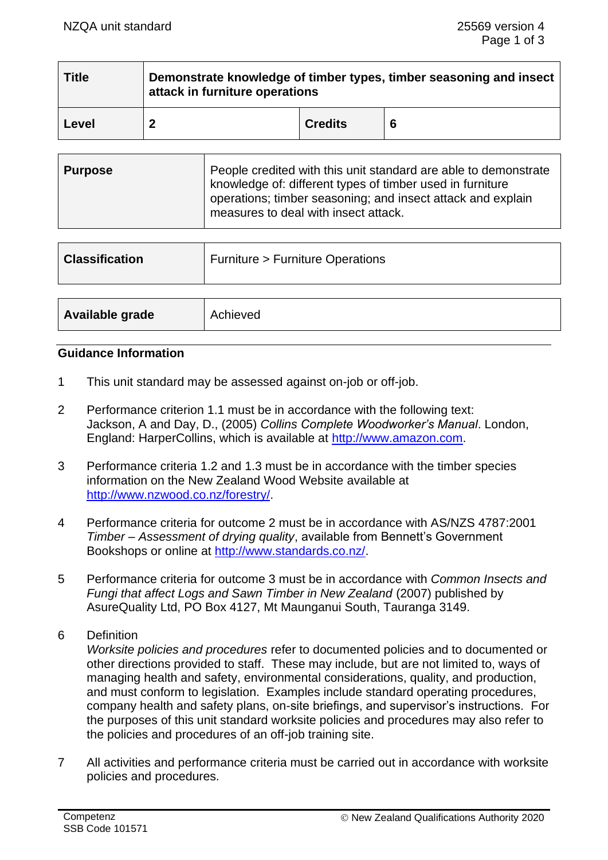| <b>Title</b> | Demonstrate knowledge of timber types, timber seasoning and insect<br>attack in furniture operations |                |   |
|--------------|------------------------------------------------------------------------------------------------------|----------------|---|
| Level        |                                                                                                      | <b>Credits</b> | 6 |

| People credited with this unit standard are able to demonstrate<br>  Purpose<br>knowledge of: different types of timber used in furniture<br>operations; timber seasoning; and insect attack and explain<br>measures to deal with insect attack. |
|--------------------------------------------------------------------------------------------------------------------------------------------------------------------------------------------------------------------------------------------------|
|--------------------------------------------------------------------------------------------------------------------------------------------------------------------------------------------------------------------------------------------------|

| Achieved |
|----------|
|          |

#### **Guidance Information**

- 1 This unit standard may be assessed against on-job or off-job.
- 2 Performance criterion 1.1 must be in accordance with the following text: Jackson, A and Day, D., (2005) *Collins Complete Woodworker's Manual*. London, England: HarperCollins, which is available at [http://www.amazon.com.](http://www.amazon.com/)
- 3 Performance criteria 1.2 and 1.3 must be in accordance with the timber species information on the New Zealand Wood Website available at [http://www.nzwood.co.nz/forestry/.](http://www.nzwood.co.nz/forestry/)
- 4 Performance criteria for outcome 2 must be in accordance with AS/NZS 4787:2001 *Timber – Assessment of drying quality*, available from Bennett's Government Bookshops or online at [http://www.standards.co.nz/.](http://www.standards.co.nz/)
- 5 Performance criteria for outcome 3 must be in accordance with *Common Insects and Fungi that affect Logs and Sawn Timber in New Zealand* (2007) published by AsureQuality Ltd, PO Box 4127, Mt Maunganui South, Tauranga 3149.
- 6 Definition

*Worksite policies and procedures* refer to documented policies and to documented or other directions provided to staff. These may include, but are not limited to, ways of managing health and safety, environmental considerations, quality, and production, and must conform to legislation. Examples include standard operating procedures, company health and safety plans, on-site briefings, and supervisor's instructions. For the purposes of this unit standard worksite policies and procedures may also refer to the policies and procedures of an off-job training site.

7 All activities and performance criteria must be carried out in accordance with worksite policies and procedures.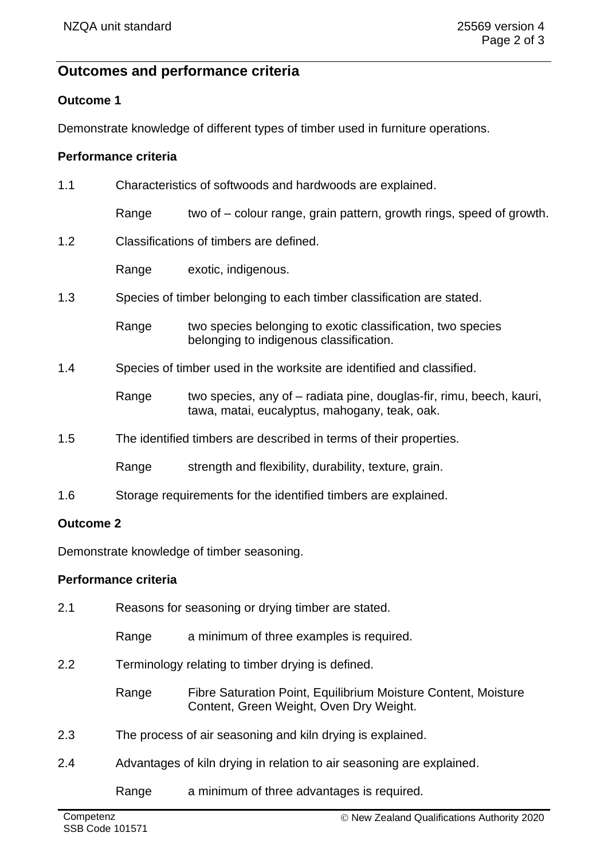# **Outcomes and performance criteria**

### **Outcome 1**

Demonstrate knowledge of different types of timber used in furniture operations.

### **Performance criteria**

| 1.1 | Characteristics of softwoods and hardwoods are explained.          |                                                                                                                       |  |
|-----|--------------------------------------------------------------------|-----------------------------------------------------------------------------------------------------------------------|--|
|     | Range                                                              | two of – colour range, grain pattern, growth rings, speed of growth.                                                  |  |
| 1.2 | Classifications of timbers are defined.                            |                                                                                                                       |  |
|     | Range                                                              | exotic, indigenous.                                                                                                   |  |
| 1.3 |                                                                    | Species of timber belonging to each timber classification are stated.                                                 |  |
|     | Range                                                              | two species belonging to exotic classification, two species<br>belonging to indigenous classification.                |  |
| 1.4 |                                                                    | Species of timber used in the worksite are identified and classified.                                                 |  |
|     | Range                                                              | two species, any of – radiata pine, douglas-fir, rimu, beech, kauri,<br>tawa, matai, eucalyptus, mahogany, teak, oak. |  |
| 1.5 | The identified timbers are described in terms of their properties. |                                                                                                                       |  |
|     | Range                                                              | strength and flexibility, durability, texture, grain.                                                                 |  |
| 1.6 |                                                                    | Storage requirements for the identified timbers are explained.                                                        |  |

### **Outcome 2**

Demonstrate knowledge of timber seasoning.

# **Performance criteria**

| 2.1 | Reasons for seasoning or drying timber are stated.                    |                                                                                                           |
|-----|-----------------------------------------------------------------------|-----------------------------------------------------------------------------------------------------------|
|     | Range                                                                 | a minimum of three examples is required.                                                                  |
| 2.2 | Terminology relating to timber drying is defined.                     |                                                                                                           |
|     | Range                                                                 | Fibre Saturation Point, Equilibrium Moisture Content, Moisture<br>Content, Green Weight, Oven Dry Weight. |
| 2.3 | The process of air seasoning and kiln drying is explained.            |                                                                                                           |
| 2.4 | Advantages of kiln drying in relation to air seasoning are explained. |                                                                                                           |
|     | Range                                                                 | a minimum of three advantages is required.                                                                |